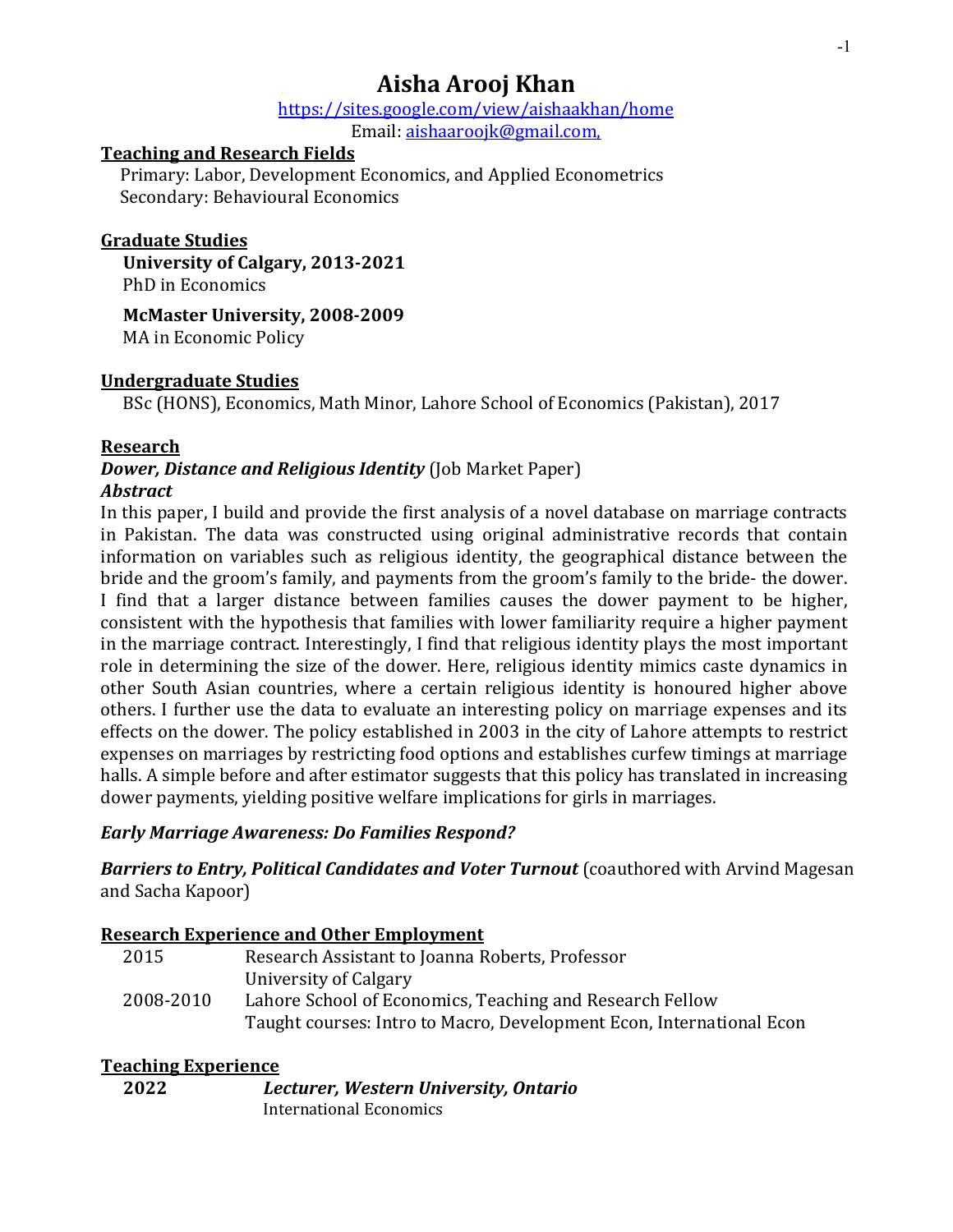# **Aisha Arooj Khan**

# https://sites.google.com/view/aishaakhan/home

Email: aishaaroojk@gmail.com, 

## **Teaching and Research Fields**

Primary: Labor, Development Economics, and Applied Econometrics Secondary: Behavioural Economics

# **Graduate Studies**

**University of Calgary, 2013-2021** PhD in Economics

**McMaster University, 2008-2009**

MA in Economic Policy

# **Undergraduate Studies**

BSc (HONS), Economics, Math Minor, Lahore School of Economics (Pakistan), 2017

# **Research**

#### *Dower, Distance and Religious Identity* (Job Market Paper) *Abstract*

In this paper, I build and provide the first analysis of a novel database on marriage contracts in Pakistan. The data was constructed using original administrative records that contain information on variables such as religious identity, the geographical distance between the bride and the groom's family, and payments from the groom's family to the bride- the dower. I find that a larger distance between families causes the dower payment to be higher, consistent with the hypothesis that families with lower familiarity require a higher payment in the marriage contract. Interestingly, I find that religious identity plays the most important role in determining the size of the dower. Here, religious identity mimics caste dynamics in other South Asian countries, where a certain religious identity is honoured higher above others. I further use the data to evaluate an interesting policy on marriage expenses and its effects on the dower. The policy established in 2003 in the city of Lahore attempts to restrict expenses on marriages by restricting food options and establishes curfew timings at marriage halls. A simple before and after estimator suggests that this policy has translated in increasing dower payments, yielding positive welfare implications for girls in marriages.

# *Early Marriage Awareness: Do Families Respond?*

**Barriers to Entry, Political Candidates and Voter Turnout** (coauthored with Arvind Magesan and Sacha Kapoor)

## **Research Experience and Other Employment**

| 2015      | Research Assistant to Joanna Roberts, Professor                      |
|-----------|----------------------------------------------------------------------|
|           | University of Calgary                                                |
| 2008-2010 | Lahore School of Economics, Teaching and Research Fellow             |
|           | Taught courses: Intro to Macro, Development Econ, International Econ |

## **Teaching Experience**

| 2022 | Lecturer, Western University, Ontario |
|------|---------------------------------------|
|      | International Economics               |